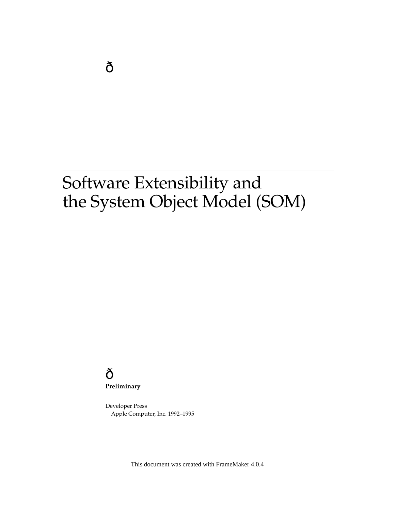**Preliminary**

Developer Press Apple Computer, Inc. 1992–1995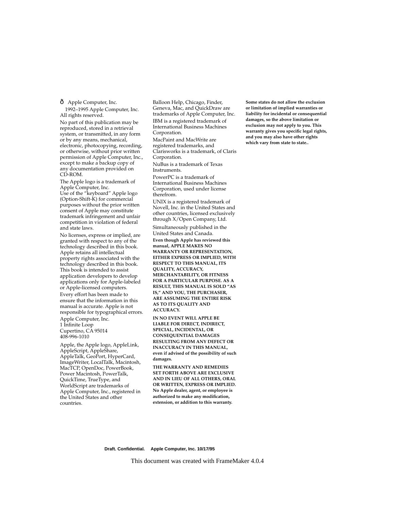Apple Computer, Inc. 1992–1995 Apple Computer, Inc. All rights reserved.

No part of this publication may be reproduced, stored in a retrieval system, or transmitted, in any form or by any means, mechanical, electronic, photocopying, recording, or otherwise, without prior written permission of Apple Computer, Inc., except to make a backup copy of any documentation provided on CD-ROM.

The Apple logo is a trademark of Apple Computer, Inc. Use of the "keyboard" Apple logo (Option-Shift-K) for commercial purposes without the prior written consent of Apple may constitute trademark infringement and unfair competition in violation of federal and state laws.

No licenses, express or implied, are granted with respect to any of the technology described in this book. Apple retains all intellectual property rights associated with the technology described in this book. This book is intended to assist application developers to develop applications only for Apple-labeled or Apple-licensed computers. Every effort has been made to ensure that the information in this manual is accurate. Apple is not responsible for typographical errors.

Apple Computer, Inc. 1 Infinite Loop Cupertino, CA 95014 408-996-1010

Apple, the Apple logo, AppleLink, AppleScript, AppleShare, AppleTalk, GeoPort, HyperCard, ImageWriter, LocalTalk, Macintosh, MacTCP, OpenDoc, PowerBook, Power Macintosh, PowerTalk, QuickTime, TrueType, and WorldScript are trademarks of Apple Computer, Inc., registered in the United States and other countries.

Balloon Help, Chicago, Finder, Geneva, Mac, and QuickDraw are trademarks of Apple Computer, Inc. IBM is a registered trademark of International Business Machines Corporation.

MacPaint and MacWrite are registered trademarks, and Clarisworks is a trademark, of Claris Corporation.

NuBus is a trademark of Texas Instruments.

PowerPC is a trademark of International Business Machines Corporation, used under license therefrom.

UNIX is a registered trademark of Novell, Inc. in the United States and other countries, licensed exclusively through X/Open Company, Ltd.

Simultaneously published in the United States and Canada.

**Even though Apple has reviewed this manual, APPLE MAKES NO WARRANTY OR REPRESENTATION, EITHER EXPRESS OR IMPLIED, WITH RESPECT TO THIS MANUAL, ITS QUALITY, ACCURACY, MERCHANTABILITY, OR FITNESS FOR A PARTICULAR PURPOSE. AS A RESULT, THIS MANUAL IS SOLD "AS IS," AND YOU, THE PURCHASER, ARE ASSUMING THE ENTIRE RISK AS TO ITS QUALITY AND ACCURACY.**

**IN NO EVENT WILL APPLE BE LIABLE FOR DIRECT, INDIRECT, SPECIAL, INCIDENTAL, OR CONSEQUENTIAL DAMAGES RESULTING FROM ANY DEFECT OR INACCURACY IN THIS MANUAL, even if advised of the possibility of such damages.**

**THE WARRANTY AND REMEDIES SET FORTH ABOVE ARE EXCLUSIVE AND IN LIEU OF ALL OTHERS, ORAL OR WRITTEN, EXPRESS OR IMPLIED. No Apple dealer, agent, or employee is authorized to make any modification, extension, or addition to this warranty.**

**Some states do not allow the exclusion or limitation of implied warranties or liability for incidental or consequential damages, so the above limitation or exclusion may not apply to you. This warranty gives you specific legal rights, and you may also have other rights which vary from state to state..**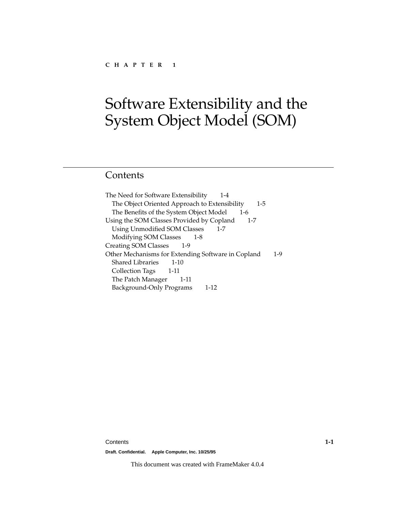# Contents

The Need for Software Extensibility 1-4 The Object Oriented Approach to Extensibility 1-5 The Benefits of the System Object Model 1-6 Using the SOM Classes Provided by Copland 1-7 Using Unmodified SOM Classes 1-7 Modifying SOM Classes 1-8 Creating SOM Classes 1-9 Other Mechanisms for Extending Software in Copland 1-9 Shared Libraries 1-10 Collection Tags 1-11 The Patch Manager 1-11 Background-Only Programs 1-12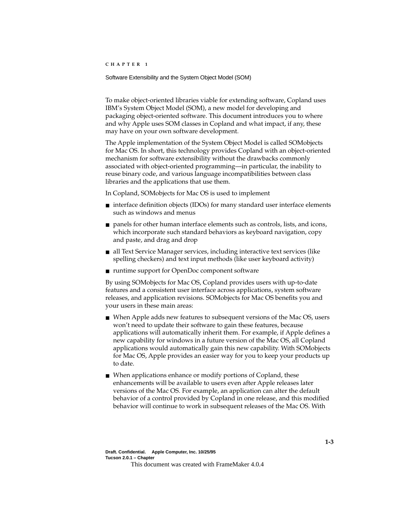Software Extensibility and the System Object Model (SOM) 1

To make object-oriented libraries viable for extending software, Copland uses IBM's System Object Model (SOM), a new model for developing and packaging object-oriented software. This document introduces you to where and why Apple uses SOM classes in Copland and what impact, if any, these may have on your own software development.

The Apple implementation of the System Object Model is called SOMobjects for Mac OS. In short, this technology provides Copland with an object-oriented mechanism for software extensibility without the drawbacks commonly associated with object-oriented programming—in particular, the inability to reuse binary code, and various language incompatibilities between class libraries and the applications that use them.

In Copland, SOMobjects for Mac OS is used to implement

- interface definition objects (IDOs) for many standard user interface elements such as windows and menus
- panels for other human interface elements such as controls, lists, and icons, which incorporate such standard behaviors as keyboard navigation, copy and paste, and drag and drop
- all Text Service Manager services, including interactive text services (like spelling checkers) and text input methods (like user keyboard activity)
- runtime support for OpenDoc component software

By using SOMobjects for Mac OS, Copland provides users with up-to-date features and a consistent user interface across applications, system software releases, and application revisions. SOMobjects for Mac OS benefits you and your users in these main areas:

- When Apple adds new features to subsequent versions of the Mac OS, users won't need to update their software to gain these features, because applications will automatically inherit them. For example, if Apple defines a new capability for windows in a future version of the Mac OS, all Copland applications would automatically gain this new capability. With SOMobjects for Mac OS, Apple provides an easier way for you to keep your products up to date.
- When applications enhance or modify portions of Copland, these enhancements will be available to users even after Apple releases later versions of the Mac OS. For example, an application can alter the default behavior of a control provided by Copland in one release, and this modified behavior will continue to work in subsequent releases of the Mac OS. With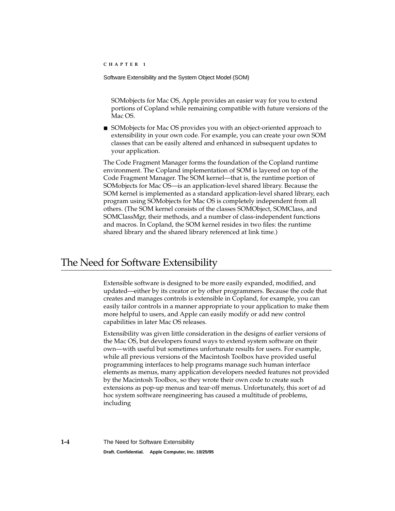SOMobjects for Mac OS, Apple provides an easier way for you to extend portions of Copland while remaining compatible with future versions of the Mac OS.

■ SOMobjects for Mac OS provides you with an object-oriented approach to extensibility in your own code. For example, you can create your own SOM classes that can be easily altered and enhanced in subsequent updates to your application.

The Code Fragment Manager forms the foundation of the Copland runtime environment. The Copland implementation of SOM is layered on top of the Code Fragment Manager. The SOM kernel—that is, the runtime portion of SOMobjects for Mac OS—is an application-level shared library. Because the SOM kernel is implemented as a standard application-level shared library, each program using SOMobjects for Mac OS is completely independent from all others. (The SOM kernel consists of the classes SOMObject, SOMClass, and SOMClassMgr, their methods, and a number of class-independent functions and macros. In Copland, the SOM kernel resides in two files: the runtime shared library and the shared library referenced at link time.)

# The Need for Software Extensibility 1

Extensible software is designed to be more easily expanded, modified, and updated—either by its creator or by other programmers. Because the code that creates and manages controls is extensible in Copland, for example, you can easily tailor controls in a manner appropriate to your application to make them more helpful to users, and Apple can easily modify or add new control capabilities in later Mac OS releases.

Extensibility was given little consideration in the designs of earlier versions of the Mac OS, but developers found ways to extend system software on their own—with useful but sometimes unfortunate results for users. For example, while all previous versions of the Macintosh Toolbox have provided useful programming interfaces to help programs manage such human interface elements as menus, many application developers needed features not provided by the Macintosh Toolbox, so they wrote their own code to create such extensions as pop-up menus and tear-off menus. Unfortunately, this sort of ad hoc system software reengineering has caused a multitude of problems, including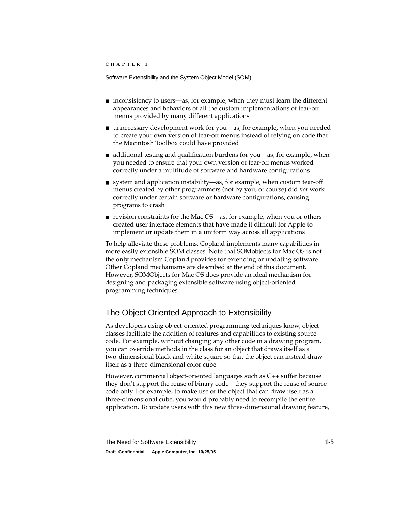- inconsistency to users—as, for example, when they must learn the different appearances and behaviors of all the custom implementations of tear-off menus provided by many different applications
- unnecessary development work for you—as, for example, when you needed to create your own version of tear-off menus instead of relying on code that the Macintosh Toolbox could have provided
- additional testing and qualification burdens for you—as, for example, when you needed to ensure that your own version of tear-off menus worked correctly under a multitude of software and hardware configurations
- system and application instability—as, for example, when custom tear-off menus created by other programmers (not by you, of course) did *not* work correctly under certain software or hardware configurations, causing programs to crash
- revision constraints for the Mac OS—as, for example, when you or others created user interface elements that have made it difficult for Apple to implement or update them in a uniform way across all applications

To help alleviate these problems, Copland implements many capabilities in more easily extensible SOM classes. Note that SOMobjects for Mac OS is not the only mechanism Copland provides for extending or updating software. Other Copland mechanisms are described at the end of this document. However, SOMObjects for Mac OS does provide an ideal mechanism for designing and packaging extensible software using object-oriented programming techniques.

# The Object Oriented Approach to Extensibility 1

As developers using object-oriented programming techniques know, object classes facilitate the addition of features and capabilities to existing source code. For example, without changing any other code in a drawing program, you can override methods in the class for an object that draws itself as a two-dimensional black-and-white square so that the object can instead draw itself as a three-dimensional color cube.

However, commercial object-oriented languages such as C++ suffer because they don't support the reuse of binary code—they support the reuse of source code only. For example, to make use of the object that can draw itself as a three-dimensional cube, you would probably need to recompile the entire application. To update users with this new three-dimensional drawing feature,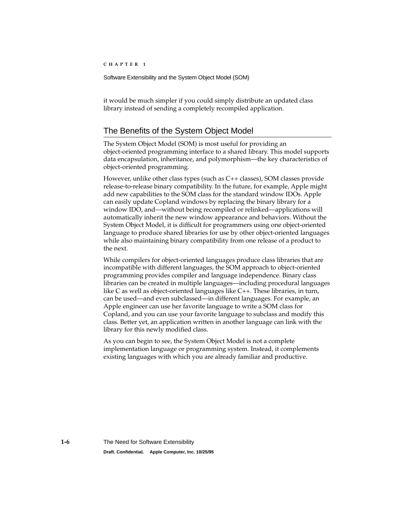it would be much simpler if you could simply distribute an updated class library instead of sending a completely recompiled application.

# The Benefits of the System Object Model

The System Object Model (SOM) is most useful for providing an object-oriented programming interface to a shared library. This model supports data encapsulation, inheritance, and polymorphism—the key characteristics of object-oriented programming.

However, unlike other class types (such as C++ classes), SOM classes provide release-to-release binary compatibility. In the future, for example, Apple might add new capabilities to the SOM class for the standard window IDOs. Apple can easily update Copland windows by replacing the binary library for a window IDO, and—without being recompiled or relinked—applications will automatically inherit the new window appearance and behaviors. Without the System Object Model, it is difficult for programmers using one object-oriented language to produce shared libraries for use by other object-oriented languages while also maintaining binary compatibility from one release of a product to the next.

While compilers for object-oriented languages produce class libraries that are incompatible with different languages, the SOM approach to object-oriented programming provides compiler and language independence. Binary class libraries can be created in multiple languages—including procedural languages like C as well as object-oriented languages like C++. These libraries, in turn, can be used—and even subclassed—in different languages. For example, an Apple engineer can use her favorite language to write a SOM class for Copland, and you can use your favorite language to subclass and modify this class. Better yet, an application written in another language can link with the library for this newly modified class.

As you can begin to see, the System Object Model is not a complete implementation language or programming system. Instead, it complements existing languages with which you are already familiar and productive.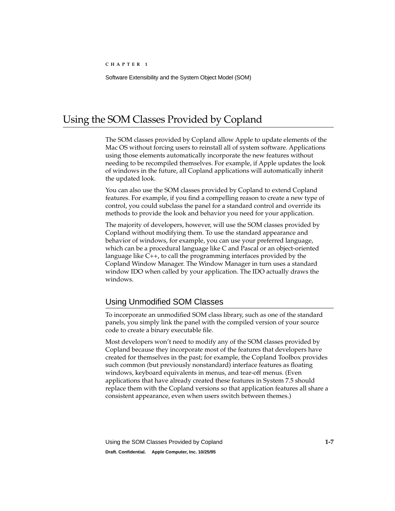# Using the SOM Classes Provided by Copland 1

The SOM classes provided by Copland allow Apple to update elements of the Mac OS without forcing users to reinstall all of system software. Applications using those elements automatically incorporate the new features without needing to be recompiled themselves. For example, if Apple updates the look of windows in the future, all Copland applications will automatically inherit the updated look.

You can also use the SOM classes provided by Copland to extend Copland features. For example, if you find a compelling reason to create a new type of control, you could subclass the panel for a standard control and override its methods to provide the look and behavior you need for your application.

The majority of developers, however, will use the SOM classes provided by Copland without modifying them. To use the standard appearance and behavior of windows, for example, you can use your preferred language, which can be a procedural language like C and Pascal or an object-oriented language like C++, to call the programming interfaces provided by the Copland Window Manager. The Window Manager in turn uses a standard window IDO when called by your application. The IDO actually draws the windows.

## Using Unmodified SOM Classes 1

To incorporate an unmodified SOM class library, such as one of the standard panels, you simply link the panel with the compiled version of your source code to create a binary executable file.

Most developers won't need to modify any of the SOM classes provided by Copland because they incorporate most of the features that developers have created for themselves in the past; for example, the Copland Toolbox provides such common (but previously nonstandard) interface features as floating windows, keyboard equivalents in menus, and tear-off menus. (Even applications that have already created these features in System 7.5 should replace them with the Copland versions so that application features all share a consistent appearance, even when users switch between themes.)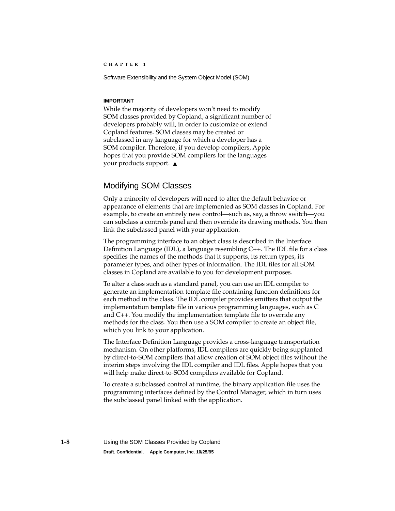#### **IMPORTANT**

While the majority of developers won't need to modify SOM classes provided by Copland, a significant number of developers probably will, in order to customize or extend Copland features. SOM classes may be created or subclassed in any language for which a developer has a SOM compiler. Therefore, if you develop compilers, Apple hopes that you provide SOM compilers for the languages your products support. ▲

### Modifying SOM Classes 1

Only a minority of developers will need to alter the default behavior or appearance of elements that are implemented as SOM classes in Copland. For example, to create an entirely new control—such as, say, a throw switch—you can subclass a controls panel and then override its drawing methods. You then link the subclassed panel with your application.

The programming interface to an object class is described in the Interface Definition Language (IDL), a language resembling C++. The IDL file for a class specifies the names of the methods that it supports, its return types, its parameter types, and other types of information. The IDL files for all SOM classes in Copland are available to you for development purposes.

To alter a class such as a standard panel, you can use an IDL compiler to generate an implementation template file containing function definitions for each method in the class. The IDL compiler provides emitters that output the implementation template file in various programming languages, such as C and C++. You modify the implementation template file to override any methods for the class. You then use a SOM compiler to create an object file, which you link to your application.

The Interface Definition Language provides a cross-language transportation mechanism. On other platforms, IDL compilers are quickly being supplanted by direct-to-SOM compilers that allow creation of SOM object files without the interim steps involving the IDL compiler and IDL files. Apple hopes that you will help make direct-to-SOM compilers available for Copland.

To create a subclassed control at runtime, the binary application file uses the programming interfaces defined by the Control Manager, which in turn uses the subclassed panel linked with the application.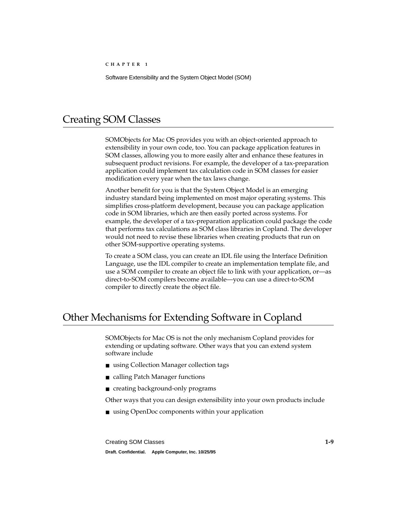# Creating SOM Classes 1

SOMObjects for Mac OS provides you with an object-oriented approach to extensibility in your own code, too. You can package application features in SOM classes, allowing you to more easily alter and enhance these features in subsequent product revisions. For example, the developer of a tax-preparation application could implement tax calculation code in SOM classes for easier modification every year when the tax laws change.

Another benefit for you is that the System Object Model is an emerging industry standard being implemented on most major operating systems. This simplifies cross-platform development, because you can package application code in SOM libraries, which are then easily ported across systems. For example, the developer of a tax-preparation application could package the code that performs tax calculations as SOM class libraries in Copland. The developer would not need to revise these libraries when creating products that run on other SOM-supportive operating systems.

To create a SOM class, you can create an IDL file using the Interface Definition Language, use the IDL compiler to create an implementation template file, and use a SOM compiler to create an object file to link with your application, or—as direct-to-SOM compilers become available—you can use a direct-to-SOM compiler to directly create the object file.

# Other Mechanisms for Extending Software in Copland 1

SOMObjects for Mac OS is not the only mechanism Copland provides for extending or updating software. Other ways that you can extend system software include

- using Collection Manager collection tags
- calling Patch Manager functions
- creating background-only programs

Other ways that you can design extensibility into your own products include

■ using OpenDoc components within your application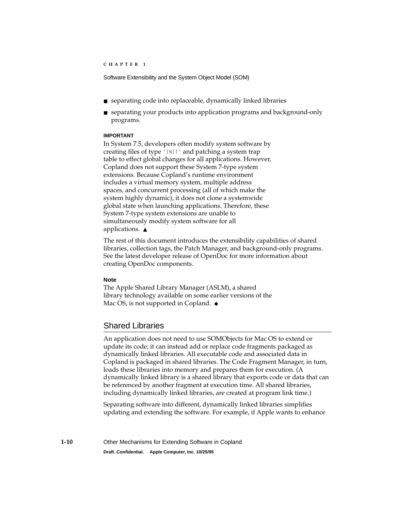- separating code into replaceable, dynamically linked libraries
- separating your products into application programs and background-only programs.

#### **IMPORTANT**

In System 7.5, developers often modify system software by creating files of type 'INIT' and patching a system trap table to effect global changes for all applications. However, Copland does not support these System 7-type system extensions. Because Copland's runtime environment includes a virtual memory system, multiple address spaces, and concurrent processing (all of which make the system highly dynamic), it does not clone a systemwide global state when launching applications. Therefore, these System 7-type system extensions are unable to simultaneously modify system software for all applications. ▲

The rest of this document introduces the extensibility capabilities of shared libraries, collection tags, the Patch Manager, and background-only programs. See the latest developer release of OpenDoc for more information about creating OpenDoc components.

#### **Note**

The Apple Shared Library Manager (ASLM), a shared library technology available on some earlier versions of the Mac OS, is not supported in Copland. ◆

### Shared Libraries 1

An application does not need to use SOMObjects for Mac OS to extend or update its code; it can instead add or replace code fragments packaged as dynamically linked libraries. All executable code and associated data in Copland is packaged in shared libraries. The Code Fragment Manager, in turn, loads these libraries into memory and prepares them for execution. (A dynamically linked library is a shared library that exports code or data that can be referenced by another fragment at execution time. All shared libraries, including dynamically linked libraries, are created at program link time.)

Separating software into different, dynamically linked libraries simplifies updating and extending the software. For example, if Apple wants to enhance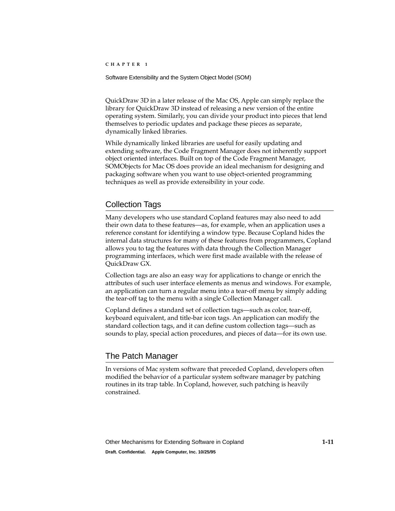Software Extensibility and the System Object Model (SOM)

QuickDraw 3D in a later release of the Mac OS, Apple can simply replace the library for QuickDraw 3D instead of releasing a new version of the entire operating system. Similarly, you can divide your product into pieces that lend themselves to periodic updates and package these pieces as separate, dynamically linked libraries.

While dynamically linked libraries are useful for easily updating and extending software, the Code Fragment Manager does not inherently support object oriented interfaces. Built on top of the Code Fragment Manager, SOMObjects for Mac OS does provide an ideal mechanism for designing and packaging software when you want to use object-oriented programming techniques as well as provide extensibility in your code.

### Collection Tags 1

Many developers who use standard Copland features may also need to add their own data to these features—as, for example, when an application uses a reference constant for identifying a window type. Because Copland hides the internal data structures for many of these features from programmers, Copland allows you to tag the features with data through the Collection Manager programming interfaces, which were first made available with the release of QuickDraw GX.

Collection tags are also an easy way for applications to change or enrich the attributes of such user interface elements as menus and windows. For example, an application can turn a regular menu into a tear-off menu by simply adding the tear-off tag to the menu with a single Collection Manager call.

Copland defines a standard set of collection tags—such as color, tear-off, keyboard equivalent, and title-bar icon tags. An application can modify the standard collection tags, and it can define custom collection tags—such as sounds to play, special action procedures, and pieces of data—for its own use.

## The Patch Manager 1

In versions of Mac system software that preceded Copland, developers often modified the behavior of a particular system software manager by patching routines in its trap table. In Copland, however, such patching is heavily constrained.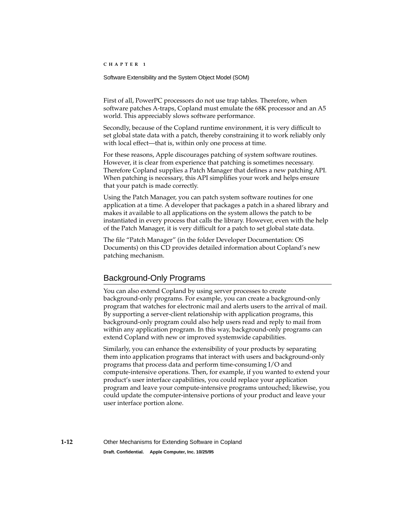#### Software Extensibility and the System Object Model (SOM)

First of all, PowerPC processors do not use trap tables. Therefore, when software patches A-traps, Copland must emulate the 68K processor and an A5 world. This appreciably slows software performance.

Secondly, because of the Copland runtime environment, it is very difficult to set global state data with a patch, thereby constraining it to work reliably only with local effect—that is, within only one process at time.

For these reasons, Apple discourages patching of system software routines. However, it is clear from experience that patching is sometimes necessary. Therefore Copland supplies a Patch Manager that defines a new patching API. When patching is necessary, this API simplifies your work and helps ensure that your patch is made correctly.

Using the Patch Manager, you can patch system software routines for one application at a time. A developer that packages a patch in a shared library and makes it available to all applications on the system allows the patch to be instantiated in every process that calls the library. However, even with the help of the Patch Manager, it is very difficult for a patch to set global state data.

The file "Patch Manager" (in the folder Developer Documentation: OS Documents) on this CD provides detailed information about Copland's new patching mechanism.

### Background-Only Programs 1

You can also extend Copland by using server processes to create background-only programs. For example, you can create a background-only program that watches for electronic mail and alerts users to the arrival of mail. By supporting a server-client relationship with application programs, this background-only program could also help users read and reply to mail from within any application program. In this way, background-only programs can extend Copland with new or improved systemwide capabilities.

Similarly, you can enhance the extensibility of your products by separating them into application programs that interact with users and background-only programs that process data and perform time-consuming I/O and compute-intensive operations. Then, for example, if you wanted to extend your product's user interface capabilities, you could replace your application program and leave your compute-intensive programs untouched; likewise, you could update the computer-intensive portions of your product and leave your user interface portion alone.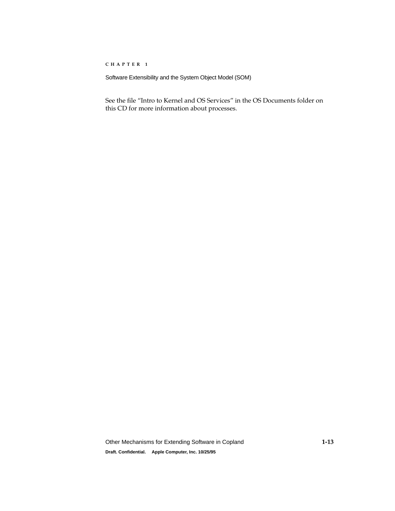Software Extensibility and the System Object Model (SOM)

See the file "Intro to Kernel and OS Services" in the OS Documents folder on this CD for more information about processes.